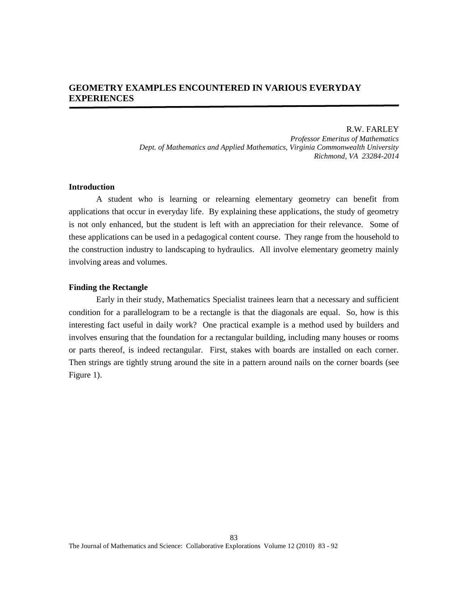# **GEOMETRY EXAMPLES ENCOUNTERED IN VARIOUS EVERYDAY EXPERIENCES**

R.W. FARLEY *Professor Emeritus of Mathematics Dept. of Mathematics and Applied Mathematics, Virginia Commonwealth University Richmond, VA 23284-2014*

# **Introduction**

A student who is learning or relearning elementary geometry can benefit from applications that occur in everyday life. By explaining these applications, the study of geometry is not only enhanced, but the student is left with an appreciation for their relevance. Some of these applications can be used in a pedagogical content course. They range from the household to the construction industry to landscaping to hydraulics. All involve elementary geometry mainly involving areas and volumes.

### **Finding the Rectangle**

Early in their study, Mathematics Specialist trainees learn that a necessary and sufficient condition for a parallelogram to be a rectangle is that the diagonals are equal. So, how is this interesting fact useful in daily work? One practical example is a method used by builders and involves ensuring that the foundation for a rectangular building, including many houses or rooms or parts thereof, is indeed rectangular. First, stakes with boards are installed on each corner. Then strings are tightly strung around the site in a pattern around nails on the corner boards (see Figure 1).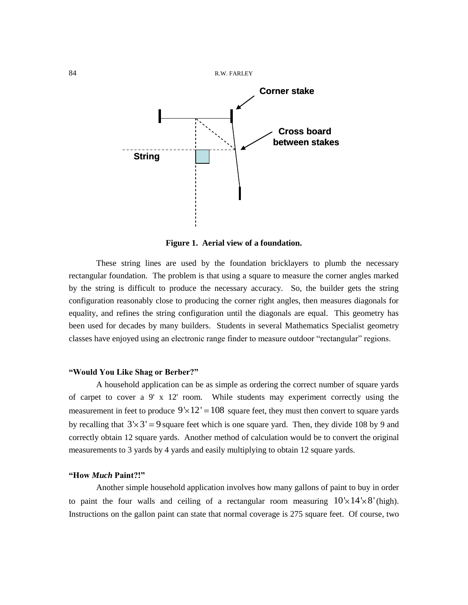

**Figure 1. Aerial view of a foundation.**

These string lines are used by the foundation bricklayers to plumb the necessary rectangular foundation. The problem is that using a square to measure the corner angles marked by the string is difficult to produce the necessary accuracy. So, the builder gets the string configuration reasonably close to producing the corner right angles, then measures diagonals for equality, and refines the string configuration until the diagonals are equal. This geometry has been used for decades by many builders. Students in several Mathematics Specialist geometry classes have enjoyed using an electronic range finder to measure outdoor "rectangular" regions.

### **"Would You Like Shag or Berber?"**

A household application can be as simple as ordering the correct number of square yards of carpet to cover a 9' x 12' room. While students may experiment correctly using the measurement in feet to produce  $9 \times 12' = 108$  square feet, they must then convert to square yards by recalling that  $3 \times 3' = 9$  square feet which is one square yard. Then, they divide 108 by 9 and correctly obtain 12 square yards. Another method of calculation would be to convert the original measurements to 3 yards by 4 yards and easily multiplying to obtain 12 square yards.

### **"How** *Much* **Paint?!"**

Another simple household application involves how many gallons of paint to buy in order to paint the four walls and ceiling of a rectangular room measuring  $10 \times 14 \times 8'$  (high). Instructions on the gallon paint can state that normal coverage is 275 square feet. Of course, two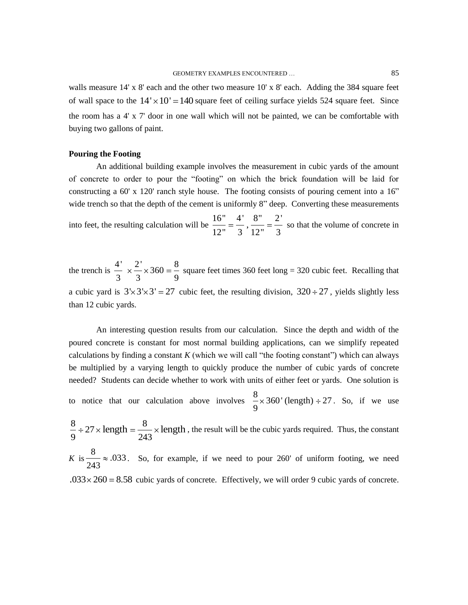walls measure 14' x 8' each and the other two measure 10' x 8' each. Adding the 384 square feet of wall space to the  $14' \times 10' = 140$  square feet of ceiling surface yields 524 square feet. Since the room has a 4' x 7' door in one wall which will not be painted, we can be comfortable with buying two gallons of paint.

### **Pouring the Footing**

An additional building example involves the measurement in cubic yards of the amount of concrete to order to pour the "footing" on which the brick foundation will be laid for constructing a 60' x 120' ranch style house. The footing consists of pouring cement into a 16" wide trench so that the depth of the cement is uniformly 8" deep. Converting these measurements

into feet, the resulting calculation will be  $\frac{16}{12} = \frac{4}{3}$ ,  $\frac{8}{12} = \frac{2}{3}$  so that the volume of concrete in

the trench is  $\frac{4'}{3} \times \frac{2'}{3} \times 360 = \frac{8}{9}$  square feet times 360 feet long = 320 cubic feet. Recalling that a cubic yard is  $3 \times 3 \times 3' = 27$  cubic feet, the resulting division,  $320 \div 27$ , yields slightly less than 12 cubic yards.

An interesting question results from our calculation. Since the depth and width of the poured concrete is constant for most normal building applications, can we simplify repeated calculations by finding a constant *K* (which we will call "the footing constant") which can always be multiplied by a varying length to quickly produce the number of cubic yards of concrete needed? Students can decide whether to work with units of either feet or yards. One solution is

to notice that our calculation above involves  $\frac{8}{3}$  × 360' (length) ÷ 27 9 . So, if we use

 $\frac{8}{9} \div 27 \times \text{length} = \frac{8}{243}$ length  $=\frac{8}{242} \times \text{length}$ , the result will be the cubic yards required. Thus, the constant

*K* is  $\frac{8}{11} \approx .033$ 243 . So, for example, if we need to pour 260' of uniform footing, we need  $.033 \times 260 = 8.58$  cubic yards of concrete. Effectively, we will order 9 cubic yards of concrete.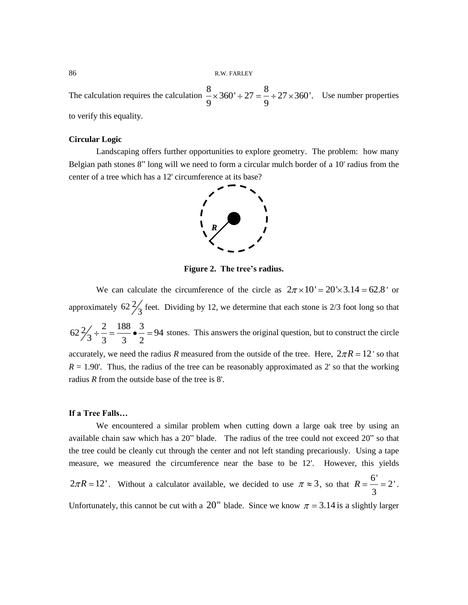The calculation requires the calculation  $\frac{8}{2} \times 360' \div 27 = \frac{8}{3}$  $360' \div 27 = \frac{8}{9} \div 27 \times 360'.$  $\frac{6}{9}$  × 360' ÷ 27 =  $\frac{6}{9}$  ÷ 27 × 360'. Use number properties to verify this equality.

# **Circular Logic**

Landscaping offers further opportunities to explore geometry. The problem: how many Belgian path stones 8" long will we need to form a circular mulch border of a 10' radius from the center of a tree which has a 12' circumference at its base?



**Figure 2. The tree's radius.**

We can calculate the circumference of the circle as  $2\pi \times 10' = 20 \times 3.14 = 62.8$  or approximately  $62\frac{2}{3}$  feet. Dividing by 12, we determine that each stone is 2/3 foot long so that  $62\frac{2}{3} \div \frac{2}{3} = \frac{188}{3} \cdot \frac{3}{2} = 94$ stones. This answers the original question, but to construct the circle accurately, we need the radius *R* measured from the outside of the tree. Here,  $2\pi R = 12$  so that  $R = 1.90'$ . Thus, the radius of the tree can be reasonably approximated as 2' so that the working radius *R* from the outside base of the tree is 8'.

### **If a Tree Falls…**

We encountered a similar problem when cutting down a large oak tree by using an available chain saw which has a 20" blade. The radius of the tree could not exceed 20" so that the tree could be cleanly cut through the center and not left standing precariously. Using a tape measure, we measured the circumference near the base to be 12'. However, this yields  $2\pi R = 12'$ . Without a calculator available, we decided to use  $\pi \approx 3$ , so that  $R = \frac{6'}{2\pi R}$ 2' 3  $R = -2$ .

Unfortunately, this cannot be cut with a 20" blade. Since we know  $\pi = 3.14$  is a slightly larger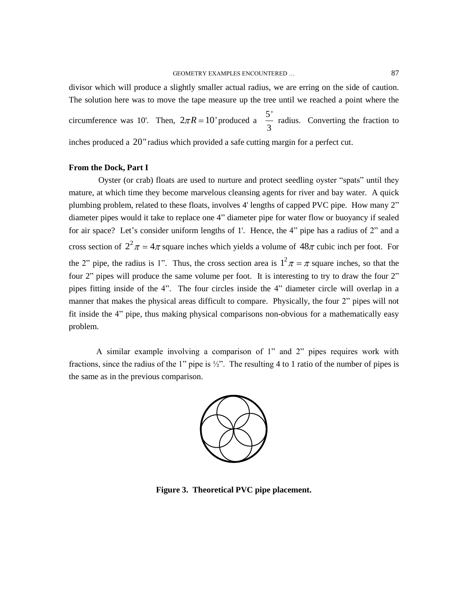divisor which will produce a slightly smaller actual radius, we are erring on the side of caution. The solution here was to move the tape measure up the tree until we reached a point where the circumference was 10'. Then,  $2\pi R = 10'$  produced a  $\frac{5}{2}$ 3 radius. Converting the fraction to inches produced a 20" radius which provided a safe cutting margin for a perfect cut.

# **From the Dock, Part I**

Oyster (or crab) floats are used to nurture and protect seedling oyster "spats" until they mature, at which time they become marvelous cleansing agents for river and bay water. A quick plumbing problem, related to these floats, involves 4' lengths of capped PVC pipe. How many 2" diameter pipes would it take to replace one 4" diameter pipe for water flow or buoyancy if sealed for air space? Let's consider uniform lengths of 1'. Hence, the 4" pipe has a radius of 2" and a cross section of  $2^2 \pi = 4\pi$  square inches which yields a volume of  $48\pi$  cubic inch per foot. For the 2" pipe, the radius is 1". Thus, the cross section area is  $1^2 \pi = \pi$  square inches, so that the four 2" pipes will produce the same volume per foot. It is interesting to try to draw the four 2" pipes fitting inside of the 4". The four circles inside the 4" diameter circle will overlap in a manner that makes the physical areas difficult to compare. Physically, the four 2" pipes will not fit inside the 4" pipe, thus making physical comparisons non-obvious for a mathematically easy problem.

A similar example involving a comparison of 1" and 2" pipes requires work with fractions, since the radius of the 1" pipe is  $\frac{1}{2}$ ". The resulting 4 to 1 ratio of the number of pipes is the same as in the previous comparison.



**Figure 3. Theoretical PVC pipe placement.**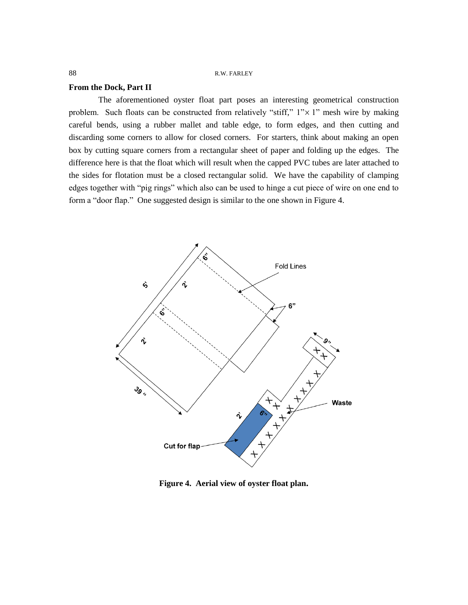# **From the Dock, Part II**

The aforementioned oyster float part poses an interesting geometrical construction problem. Such floats can be constructed from relatively "stiff,"  $1" \times 1"$  mesh wire by making careful bends, using a rubber mallet and table edge, to form edges, and then cutting and discarding some corners to allow for closed corners. For starters, think about making an open box by cutting square corners from a rectangular sheet of paper and folding up the edges. The difference here is that the float which will result when the capped PVC tubes are later attached to the sides for flotation must be a closed rectangular solid. We have the capability of clamping edges together with "pig rings" which also can be used to hinge a cut piece of wire on one end to form a "door flap." One suggested design is similar to the one shown in Figure 4.



**Figure 4. Aerial view of oyster float plan.**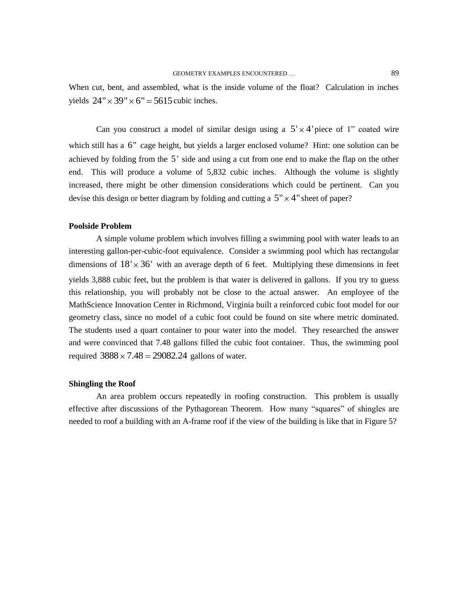When cut, bent, and assembled, what is the inside volume of the float? Calculation in inches yields  $24'' \times 39'' \times 6'' = 5615$  cubic inches.

Can you construct a model of similar design using a  $5' \times 4'$  piece of 1" coated wire which still has a 6" cage height, but yields a larger enclosed volume? Hint: one solution can be achieved by folding from the 5' side and using a cut from one end to make the flap on the other end. This will produce a volume of 5,832 cubic inches. Although the volume is slightly increased, there might be other dimension considerations which could be pertinent. Can you devise this design or better diagram by folding and cutting a  $5" \times 4"$  sheet of paper?

### **Poolside Problem**

A simple volume problem which involves filling a swimming pool with water leads to an interesting gallon-per-cubic-foot equivalence. Consider a swimming pool which has rectangular dimensions of  $18' \times 36'$  with an average depth of 6 feet. Multiplying these dimensions in feet yields 3,888 cubic feet, but the problem is that water is delivered in gallons. If you try to guess this relationship, you will probably not be close to the actual answer. An employee of the MathScience Innovation Center in Richmond, Virginia built a reinforced cubic foot model for our geometry class, since no model of a cubic foot could be found on site where metric dominated. The students used a quart container to pour water into the model. They researched the answer and were convinced that 7.48 gallons filled the cubic foot container. Thus, the swimming pool required  $3888 \times 7.48 = 29082.24$  gallons of water.

### **Shingling the Roof**

An area problem occurs repeatedly in roofing construction. This problem is usually effective after discussions of the Pythagorean Theorem. How many "squares" of shingles are needed to roof a building with an A-frame roof if the view of the building is like that in Figure 5?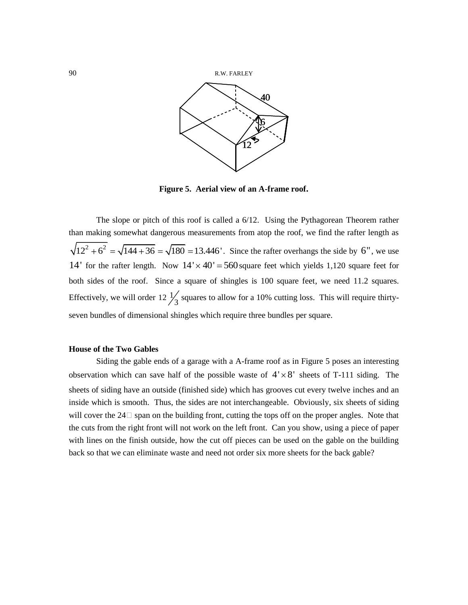

**Figure 5. Aerial view of an A-frame roof.**

The slope or pitch of this roof is called a 6/12. Using the Pythagorean Theorem rather than making somewhat dangerous measurements from atop the roof, we find the rafter length as an making somewhat dangerous measurements from atop the root, we find the rafter length as  $12^2 + 6^2 = \sqrt{144 + 36} = \sqrt{180} = 13.446'$ . Since the rafter overhangs the side by 6", we use 14' for the rafter length. Now  $14' \times 40' = 560$  square feet which yields 1,120 square feet for both sides of the roof. Since a square of shingles is 100 square feet, we need 11.2 squares. Effectively, we will order  $12 \frac{1}{3}$  squares to allow for a 10% cutting loss. This will require thirtyseven bundles of dimensional shingles which require three bundles per square.

# **House of the Two Gables**

Siding the gable ends of a garage with a A-frame roof as in Figure 5 poses an interesting observation which can save half of the possible waste of  $4' \times 8'$  sheets of T-111 siding. The sheets of siding have an outside (finished side) which has grooves cut every twelve inches and an inside which is smooth. Thus, the sides are not interchangeable. Obviously, six sheets of siding will cover the  $24\Box$  span on the building front, cutting the tops off on the proper angles. Note that the cuts from the right front will not work on the left front. Can you show, using a piece of paper with lines on the finish outside, how the cut off pieces can be used on the gable on the building back so that we can eliminate waste and need not order six more sheets for the back gable?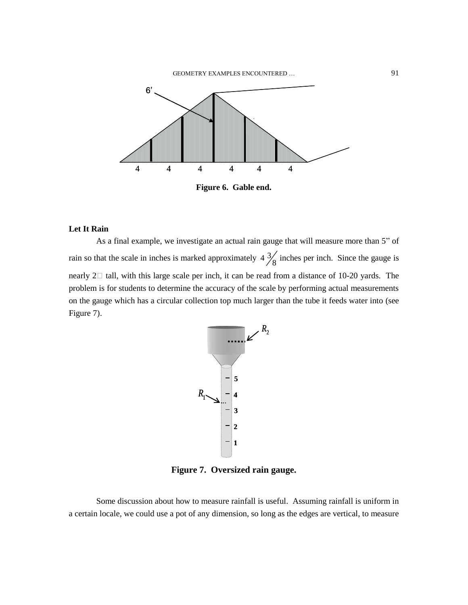

**Figure 6. Gable end.**

# **Let It Rain**

As a final example, we investigate an actual rain gauge that will measure more than 5" of rain so that the scale in inches is marked approximately  $4\frac{3}{8}$  inches per inch. Since the gauge is nearly  $2\Box$  tall, with this large scale per inch, it can be read from a distance of 10-20 yards. The problem is for students to determine the accuracy of the scale by performing actual measurements on the gauge which has a circular collection top much larger than the tube it feeds water into (see Figure 7).



**Figure 7. Oversized rain gauge.**

Some discussion about how to measure rainfall is useful. Assuming rainfall is uniform in a certain locale, we could use a pot of any dimension, so long as the edges are vertical, to measure